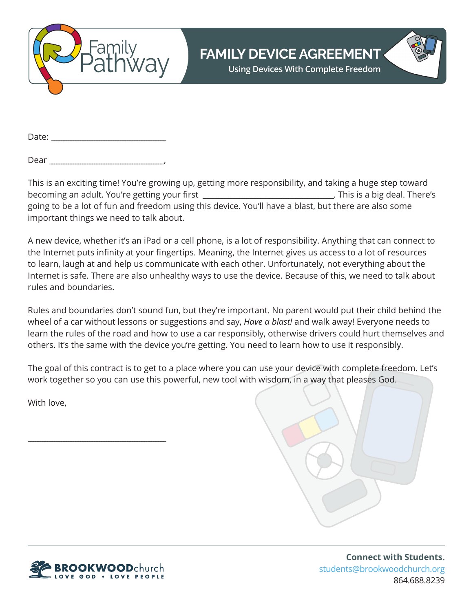

**Using Devices With Complete Freedom**

Date: \_\_\_\_\_\_\_\_\_\_\_\_\_\_\_\_\_\_\_\_\_\_\_\_\_\_\_\_\_\_\_\_\_\_\_\_\_\_\_\_\_\_\_\_\_\_\_\_

Dear \_\_\_\_\_\_\_\_\_\_\_\_\_\_\_\_\_\_\_\_\_\_\_\_\_\_\_\_\_\_\_\_\_\_\_\_\_\_\_\_\_\_\_\_\_\_\_\_,

This is an exciting time! You're growing up, getting more responsibility, and taking a huge step toward becoming an adult. You're getting your first \_\_\_\_\_\_\_\_\_\_\_\_\_\_\_\_\_\_\_\_\_\_\_\_\_\_\_\_\_\_\_\_\_\_\_. This is a big deal. There's going to be a lot of fun and freedom using this device. You'll have a blast, but there are also some important things we need to talk about.

A new device, whether it's an iPad or a cell phone, is a lot of responsibility. Anything that can connect to the Internet puts infinity at your fingertips. Meaning, the Internet gives us access to a lot of resources to learn, laugh at and help us communicate with each other. Unfortunately, not everything about the Internet is safe. There are also unhealthy ways to use the device. Because of this, we need to talk about rules and boundaries.

Rules and boundaries don't sound fun, but they're important. No parent would put their child behind the wheel of a car without lessons or suggestions and say, *Have a blast!* and walk away! Everyone needs to learn the rules of the road and how to use a car responsibly, otherwise drivers could hurt themselves and others. It's the same with the device you're getting. You need to learn how to use it responsibly.

The goal of this contract is to get to a place where you can use your device with complete freedom. Let's work together so you can use this powerful, new tool with wisdom, in a way that pleases God.

With love,





\_\_\_\_\_\_\_\_\_\_\_\_\_\_\_\_\_\_\_\_\_\_\_\_\_\_\_\_\_\_\_\_\_\_\_\_\_\_\_\_\_\_\_\_\_\_\_\_\_\_\_\_\_\_\_\_\_\_

**Connect with Students.** students@brookwoodchurch.org 864.688.8239